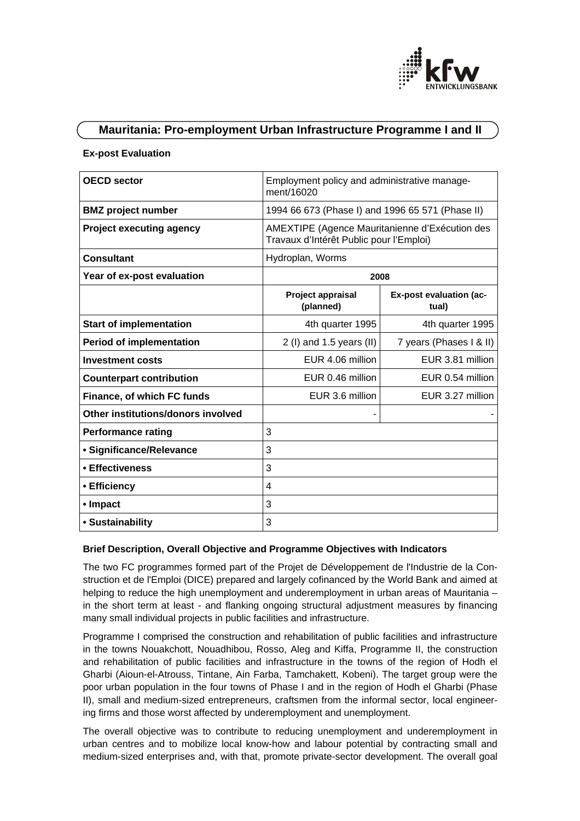

# **Mauritania: Pro-employment Urban Infrastructure Programme I and II**

#### **Ex-post Evaluation**

| <b>OECD</b> sector                 | Employment policy and administrative manage-<br>ment/16020                                |                                  |
|------------------------------------|-------------------------------------------------------------------------------------------|----------------------------------|
| <b>BMZ</b> project number          | 1994 66 673 (Phase I) and 1996 65 571 (Phase II)                                          |                                  |
| <b>Project executing agency</b>    | AMEXTIPE (Agence Mauritanienne d'Exécution des<br>Travaux d'Intérêt Public pour l'Emploi) |                                  |
| <b>Consultant</b>                  | Hydroplan, Worms                                                                          |                                  |
| Year of ex-post evaluation         | 2008                                                                                      |                                  |
|                                    | Project appraisal<br>(planned)                                                            | Ex-post evaluation (ac-<br>tual) |
| <b>Start of implementation</b>     | 4th quarter 1995                                                                          | 4th quarter 1995                 |
| <b>Period of implementation</b>    | 2 (I) and 1.5 years (II)                                                                  | 7 years (Phases I & II)          |
| <b>Investment costs</b>            | EUR 4.06 million                                                                          | EUR 3.81 million                 |
| <b>Counterpart contribution</b>    | EUR 0.46 million                                                                          | EUR 0.54 million                 |
| Finance, of which FC funds         | EUR 3.6 million                                                                           | EUR 3.27 million                 |
| Other institutions/donors involved |                                                                                           |                                  |
| <b>Performance rating</b>          | 3                                                                                         |                                  |
| • Significance/Relevance           | 3                                                                                         |                                  |
| • Effectiveness                    | 3                                                                                         |                                  |
| • Efficiency                       | 4                                                                                         |                                  |
| • Impact                           | 3                                                                                         |                                  |
| • Sustainability                   | 3                                                                                         |                                  |

#### **Brief Description, Overall Objective and Programme Objectives with Indicators**

The two FC programmes formed part of the Projet de Développement de l'Industrie de la Construction et de l'Emploi (DICE) prepared and largely cofinanced by the World Bank and aimed at helping to reduce the high unemployment and underemployment in urban areas of Mauritania – in the short term at least - and flanking ongoing structural adjustment measures by financing many small individual projects in public facilities and infrastructure.

Programme I comprised the construction and rehabilitation of public facilities and infrastructure in the towns Nouakchott, Nouadhibou, Rosso, Aleg and Kiffa, Programme II, the construction and rehabilitation of public facilities and infrastructure in the towns of the region of Hodh el Gharbi (Aioun-el-Atrouss, Tintane, Ain Farba, Tamchakett, Kobeni). The target group were the poor urban population in the four towns of Phase I and in the region of Hodh el Gharbi (Phase II), small and medium-sized entrepreneurs, craftsmen from the informal sector, local engineering firms and those worst affected by underemployment and unemployment.

The overall objective was to contribute to reducing unemployment and underemployment in urban centres and to mobilize local know-how and labour potential by contracting small and medium-sized enterprises and, with that, promote private-sector development. The overall goal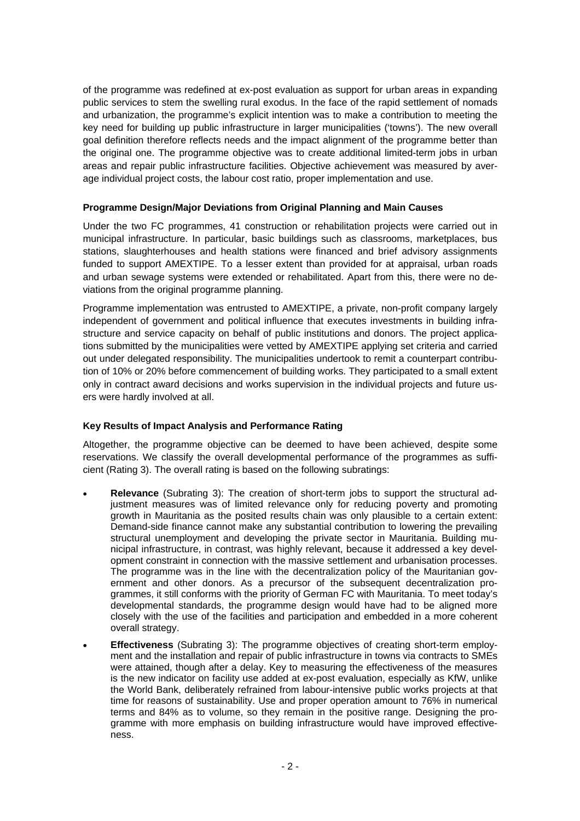of the programme was redefined at ex-post evaluation as support for urban areas in expanding public services to stem the swelling rural exodus. In the face of the rapid settlement of nomads and urbanization, the programme's explicit intention was to make a contribution to meeting the key need for building up public infrastructure in larger municipalities ('towns'). The new overall goal definition therefore reflects needs and the impact alignment of the programme better than the original one. The programme objective was to create additional limited-term jobs in urban areas and repair public infrastructure facilities. Objective achievement was measured by average individual project costs, the labour cost ratio, proper implementation and use.

### **Programme Design/Major Deviations from Original Planning and Main Causes**

Under the two FC programmes, 41 construction or rehabilitation projects were carried out in municipal infrastructure. In particular, basic buildings such as classrooms, marketplaces, bus stations, slaughterhouses and health stations were financed and brief advisory assignments funded to support AMEXTIPE. To a lesser extent than provided for at appraisal, urban roads and urban sewage systems were extended or rehabilitated. Apart from this, there were no deviations from the original programme planning.

Programme implementation was entrusted to AMEXTIPE, a private, non-profit company largely independent of government and political influence that executes investments in building infrastructure and service capacity on behalf of public institutions and donors. The project applications submitted by the municipalities were vetted by AMEXTIPE applying set criteria and carried out under delegated responsibility. The municipalities undertook to remit a counterpart contribution of 10% or 20% before commencement of building works. They participated to a small extent only in contract award decisions and works supervision in the individual projects and future users were hardly involved at all.

## **Key Results of Impact Analysis and Performance Rating**

Altogether, the programme objective can be deemed to have been achieved, despite some reservations. We classify the overall developmental performance of the programmes as sufficient (Rating 3). The overall rating is based on the following subratings:

- **Relevance** (Subrating 3): The creation of short-term jobs to support the structural adjustment measures was of limited relevance only for reducing poverty and promoting growth in Mauritania as the posited results chain was only plausible to a certain extent: Demand-side finance cannot make any substantial contribution to lowering the prevailing structural unemployment and developing the private sector in Mauritania. Building municipal infrastructure, in contrast, was highly relevant, because it addressed a key development constraint in connection with the massive settlement and urbanisation processes. The programme was in the line with the decentralization policy of the Mauritanian government and other donors. As a precursor of the subsequent decentralization programmes, it still conforms with the priority of German FC with Mauritania. To meet today's developmental standards, the programme design would have had to be aligned more closely with the use of the facilities and participation and embedded in a more coherent overall strategy.
- **Effectiveness** (Subrating 3): The programme objectives of creating short-term employment and the installation and repair of public infrastructure in towns via contracts to SMEs were attained, though after a delay. Key to measuring the effectiveness of the measures is the new indicator on facility use added at ex-post evaluation, especially as KfW, unlike the World Bank, deliberately refrained from labour-intensive public works projects at that time for reasons of sustainability. Use and proper operation amount to 76% in numerical terms and 84% as to volume, so they remain in the positive range. Designing the programme with more emphasis on building infrastructure would have improved effectiveness.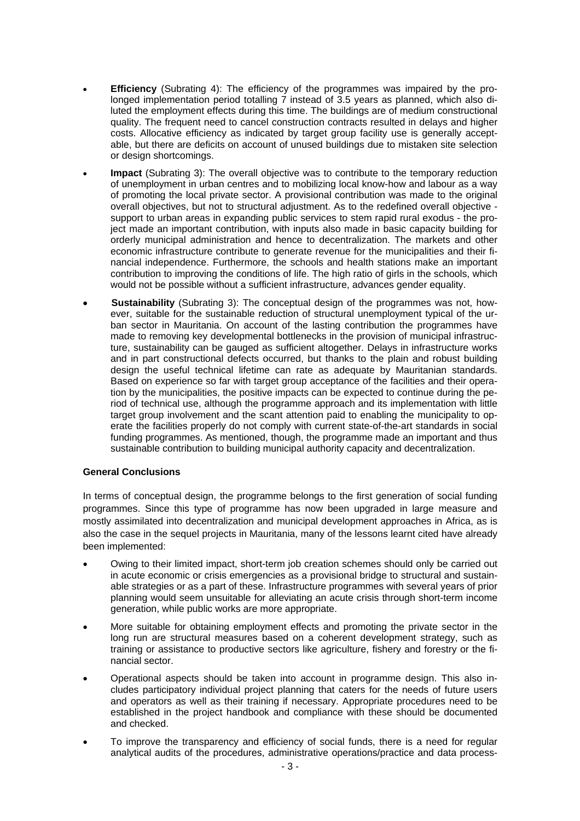- **Efficiency** (Subrating 4): The efficiency of the programmes was impaired by the prolonged implementation period totalling 7 instead of 3.5 years as planned, which also diluted the employment effects during this time. The buildings are of medium constructional quality. The frequent need to cancel construction contracts resulted in delays and higher costs. Allocative efficiency as indicated by target group facility use is generally acceptable, but there are deficits on account of unused buildings due to mistaken site selection or design shortcomings.
- **Impact** (Subrating 3): The overall objective was to contribute to the temporary reduction of unemployment in urban centres and to mobilizing local know-how and labour as a way of promoting the local private sector. A provisional contribution was made to the original overall objectives, but not to structural adjustment. As to the redefined overall objective support to urban areas in expanding public services to stem rapid rural exodus - the project made an important contribution, with inputs also made in basic capacity building for orderly municipal administration and hence to decentralization. The markets and other economic infrastructure contribute to generate revenue for the municipalities and their financial independence. Furthermore, the schools and health stations make an important contribution to improving the conditions of life. The high ratio of girls in the schools, which would not be possible without a sufficient infrastructure, advances gender equality.
- • **Sustainability** (Subrating 3): The conceptual design of the programmes was not, however, suitable for the sustainable reduction of structural unemployment typical of the urban sector in Mauritania. On account of the lasting contribution the programmes have made to removing key developmental bottlenecks in the provision of municipal infrastructure, sustainability can be gauged as sufficient altogether. Delays in infrastructure works and in part constructional defects occurred, but thanks to the plain and robust building design the useful technical lifetime can rate as adequate by Mauritanian standards. Based on experience so far with target group acceptance of the facilities and their operation by the municipalities, the positive impacts can be expected to continue during the period of technical use, although the programme approach and its implementation with little target group involvement and the scant attention paid to enabling the municipality to operate the facilities properly do not comply with current state-of-the-art standards in social funding programmes. As mentioned, though, the programme made an important and thus sustainable contribution to building municipal authority capacity and decentralization.

#### **General Conclusions**

In terms of conceptual design, the programme belongs to the first generation of social funding programmes. Since this type of programme has now been upgraded in large measure and mostly assimilated into decentralization and municipal development approaches in Africa, as is also the case in the sequel projects in Mauritania, many of the lessons learnt cited have already been implemented:

- Owing to their limited impact, short-term job creation schemes should only be carried out in acute economic or crisis emergencies as a provisional bridge to structural and sustainable strategies or as a part of these. Infrastructure programmes with several years of prior planning would seem unsuitable for alleviating an acute crisis through short-term income generation, while public works are more appropriate.
- More suitable for obtaining employment effects and promoting the private sector in the long run are structural measures based on a coherent development strategy, such as training or assistance to productive sectors like agriculture, fishery and forestry or the financial sector.
- Operational aspects should be taken into account in programme design. This also includes participatory individual project planning that caters for the needs of future users and operators as well as their training if necessary. Appropriate procedures need to be established in the project handbook and compliance with these should be documented and checked.
- To improve the transparency and efficiency of social funds, there is a need for regular analytical audits of the procedures, administrative operations/practice and data process-